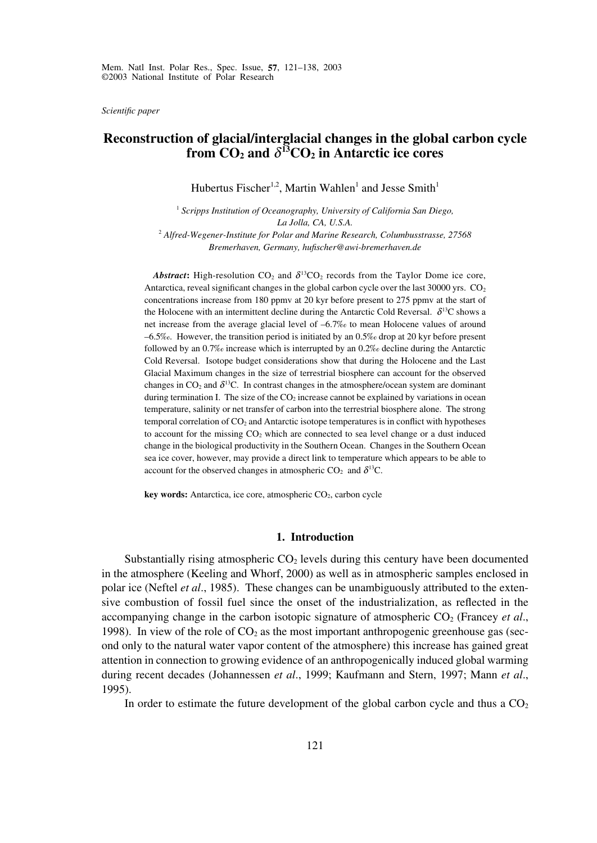*Scientific paper*

# **Reconstruction of glacial/interglacial changes in the global carbon cycle** from  $CO_2$  and  $\delta$ <sup>13</sup> $CO_2$  in Antarctic ice cores

Hubertus Fischer<sup>1,2</sup>, Martin Wahlen<sup>1</sup> and Jesse Smith<sup>1</sup>

<sup>1</sup> Scripps Institution of Oceanography, University of California San Diego, *La Jolla, CA, U.S.A.* <sup>2</sup> *Alfred-Wegener-Institute for Polar and Marine Research, Columbusstrasse, 27568 Bremerhaven, Germany, hufischer@awi-bremerhaven.de*

**Abstract:** High-resolution  $CO_2$  and  $\delta^{13}CO_2$  records from the Taylor Dome ice core, Antarctica, reveal significant changes in the global carbon cycle over the last 30000 yrs. CO<sub>2</sub> concentrations increase from 180 ppmv at 20 kyr before present to 275 ppmv at the start of the Holocene with an intermittent decline during the Antarctic Cold Reversal.  $\delta^{13}C$  shows a net increase from the average glacial level of –6.7‰ to mean Holocene values of around –6.5‰. However, the transition period is initiated by an 0.5‰ drop at 20 kyr before present followed by an 0.7‰ increase which is interrupted by an 0.2‰ decline during the Antarctic Cold Reversal. Isotope budget considerations show that during the Holocene and the Last Glacial Maximum changes in the size of terrestrial biosphere can account for the observed changes in  $CO_2$  and  $\delta^{13}$ C. In contrast changes in the atmosphere/ocean system are dominant during termination I. The size of the  $CO<sub>2</sub>$  increase cannot be explained by variations in ocean temperature, salinity or net transfer of carbon into the terrestrial biosphere alone. The strong temporal correlation of  $CO<sub>2</sub>$  and Antarctic isotope temperatures is in conflict with hypotheses to account for the missing  $CO<sub>2</sub>$  which are connected to sea level change or a dust induced change in the biological productivity in the Southern Ocean. Changes in the Southern Ocean sea ice cover, however, may provide a direct link to temperature which appears to be able to account for the observed changes in atmospheric CO<sub>2</sub> and  $\delta^{13}$ C.

**key words:** Antarctica, ice core, atmospheric CO<sub>2</sub>, carbon cycle

### **1. Introduction**

Substantially rising atmospheric  $CO<sub>2</sub>$  levels during this century have been documented in the atmosphere (Keeling and Whorf, 2000) as well as in atmospheric samples enclosed in polar ice (Neftel *et al*., 1985). These changes can be unambiguously attributed to the extensive combustion of fossil fuel since the onset of the industrialization, as reflected in the accompanying change in the carbon isotopic signature of atmospheric  $CO<sub>2</sub>$  (Francey *et al.*, 1998). In view of the role of  $CO<sub>2</sub>$  as the most important anthropogenic greenhouse gas (second only to the natural water vapor content of the atmosphere) this increase has gained great attention in connection to growing evidence of an anthropogenically induced global warming during recent decades (Johannessen *et al*., 1999; Kaufmann and Stern, 1997; Mann *et al*., 1995).

In order to estimate the future development of the global carbon cycle and thus a  $CO<sub>2</sub>$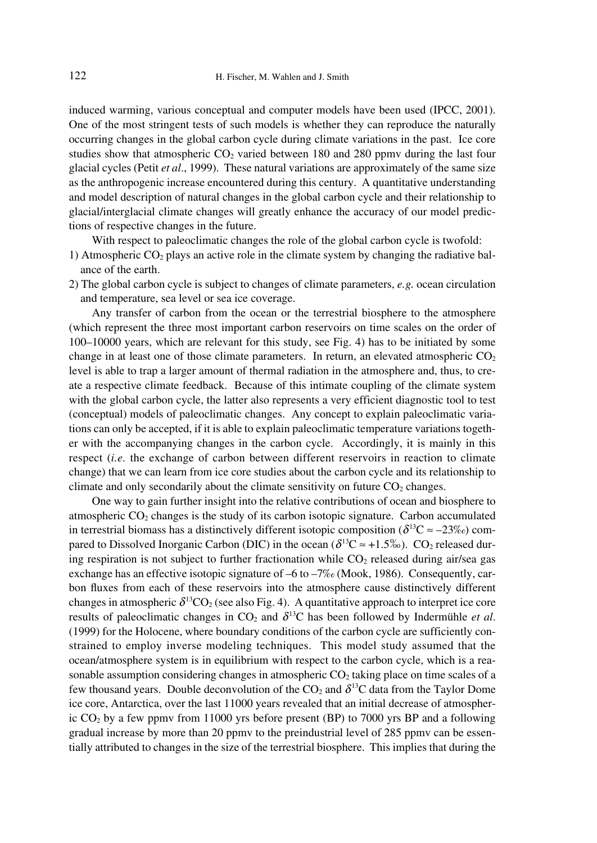induced warming, various conceptual and computer models have been used (IPCC, 2001). One of the most stringent tests of such models is whether they can reproduce the naturally occurring changes in the global carbon cycle during climate variations in the past. Ice core studies show that atmospheric  $CO<sub>2</sub>$  varied between 180 and 280 ppmy during the last four glacial cycles (Petit *et al*., 1999). These natural variations are approximately of the same size as the anthropogenic increase encountered during this century. A quantitative understanding and model description of natural changes in the global carbon cycle and their relationship to glacial/interglacial climate changes will greatly enhance the accuracy of our model predictions of respective changes in the future.

With respect to paleoclimatic changes the role of the global carbon cycle is twofold:

- 1) Atmospheric  $CO<sub>2</sub>$  plays an active role in the climate system by changing the radiative balance of the earth.
- 2) The global carbon cycle is subject to changes of climate parameters, *e.g.* ocean circulation and temperature, sea level or sea ice coverage.

Any transfer of carbon from the ocean or the terrestrial biosphere to the atmosphere (which represent the three most important carbon reservoirs on time scales on the order of 100–10000 years, which are relevant for this study, see Fig. 4) has to be initiated by some change in at least one of those climate parameters. In return, an elevated atmospheric  $CO<sub>2</sub>$ level is able to trap a larger amount of thermal radiation in the atmosphere and, thus, to create a respective climate feedback. Because of this intimate coupling of the climate system with the global carbon cycle, the latter also represents a very efficient diagnostic tool to test (conceptual) models of paleoclimatic changes. Any concept to explain paleoclimatic variations can only be accepted, if it is able to explain paleoclimatic temperature variations together with the accompanying changes in the carbon cycle. Accordingly, it is mainly in this respect (*i.e.* the exchange of carbon between different reservoirs in reaction to climate change) that we can learn from ice core studies about the carbon cycle and its relationship to climate and only secondarily about the climate sensitivity on future  $CO<sub>2</sub>$  changes.

One way to gain further insight into the relative contributions of ocean and biosphere to atmospheric  $CO<sub>2</sub>$  changes is the study of its carbon isotopic signature. Carbon accumulated in terrestrial biomass has a distinctively different isotopic composition ( $\delta^{13}C \approx -23\%$ ) compared to Dissolved Inorganic Carbon (DIC) in the ocean ( $\delta^{13}C \approx +1.5\%$ ). CO<sub>2</sub> released during respiration is not subject to further fractionation while  $CO<sub>2</sub>$  released during air/sea gas exchange has an effective isotopic signature of –6 to –7‰ (Mook, 1986). Consequently, carbon fluxes from each of these reservoirs into the atmosphere cause distinctively different changes in atmospheric  $\delta^{13}CO_2$  (see also Fig. 4). A quantitative approach to interpret ice core results of paleoclimatic changes in  $CO_2$  and  $\delta^{13}C$  has been followed by Indermühle *et al.* (1999) for the Holocene, where boundary conditions of the carbon cycle are sufficiently constrained to employ inverse modeling techniques. This model study assumed that the ocean/atmosphere system is in equilibrium with respect to the carbon cycle, which is a reasonable assumption considering changes in atmospheric  $CO<sub>2</sub>$  taking place on time scales of a few thousand years. Double deconvolution of the  $CO_2$  and  $\delta^{13}C$  data from the Taylor Dome ice core, Antarctica, over the last 11000 years revealed that an initial decrease of atmospheric  $CO<sub>2</sub>$  by a few ppmv from 11000 yrs before present (BP) to 7000 yrs BP and a following gradual increase by more than 20 ppmv to the preindustrial level of 285 ppmv can be essentially attributed to changes in the size of the terrestrial biosphere. This implies that during the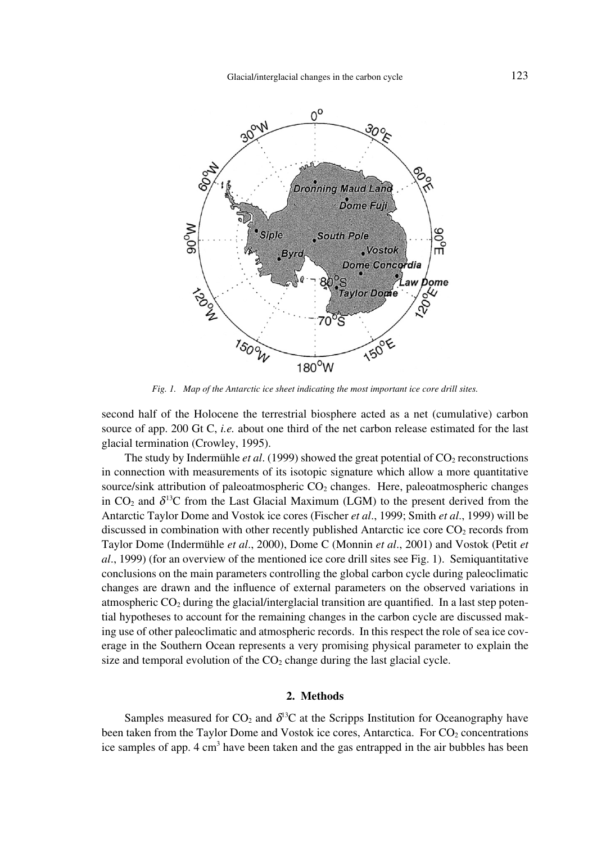

*Fig. 1. Map of the Antarctic ice sheet indicating the most important ice core drill sites.*

second half of the Holocene the terrestrial biosphere acted as a net (cumulative) carbon source of app. 200 Gt C, *i.e.* about one third of the net carbon release estimated for the last glacial termination (Crowley, 1995).

The study by Indermühle *et al.* (1999) showed the great potential of CO<sub>2</sub> reconstructions in connection with measurements of its isotopic signature which allow a more quantitative source/sink attribution of paleoatmospheric  $CO<sub>2</sub>$  changes. Here, paleoatmospheric changes in  $CO<sub>2</sub>$  and  $\delta^{13}C$  from the Last Glacial Maximum (LGM) to the present derived from the Antarctic Taylor Dome and Vostok ice cores (Fischer *et al*., 1999; Smith *et al*., 1999) will be discussed in combination with other recently published Antarctic ice core  $CO<sub>2</sub>$  records from Taylor Dome (Indermühle *et al*., 2000), Dome C (Monnin *et al*., 2001) and Vostok (Petit *et al*., 1999) (for an overview of the mentioned ice core drill sites see Fig. 1). Semiquantitative conclusions on the main parameters controlling the global carbon cycle during paleoclimatic changes are drawn and the influence of external parameters on the observed variations in atmospheric  $CO<sub>2</sub>$  during the glacial/interglacial transition are quantified. In a last step potential hypotheses to account for the remaining changes in the carbon cycle are discussed making use of other paleoclimatic and atmospheric records. In this respect the role of sea ice coverage in the Southern Ocean represents a very promising physical parameter to explain the size and temporal evolution of the  $CO<sub>2</sub>$  change during the last glacial cycle.

## **2. Methods**

Samples measured for  $CO_2$  and  $\delta^{13}C$  at the Scripps Institution for Oceanography have been taken from the Taylor Dome and Vostok ice cores, Antarctica. For  $CO<sub>2</sub>$  concentrations ice samples of app.  $4 \text{ cm}^3$  have been taken and the gas entrapped in the air bubbles has been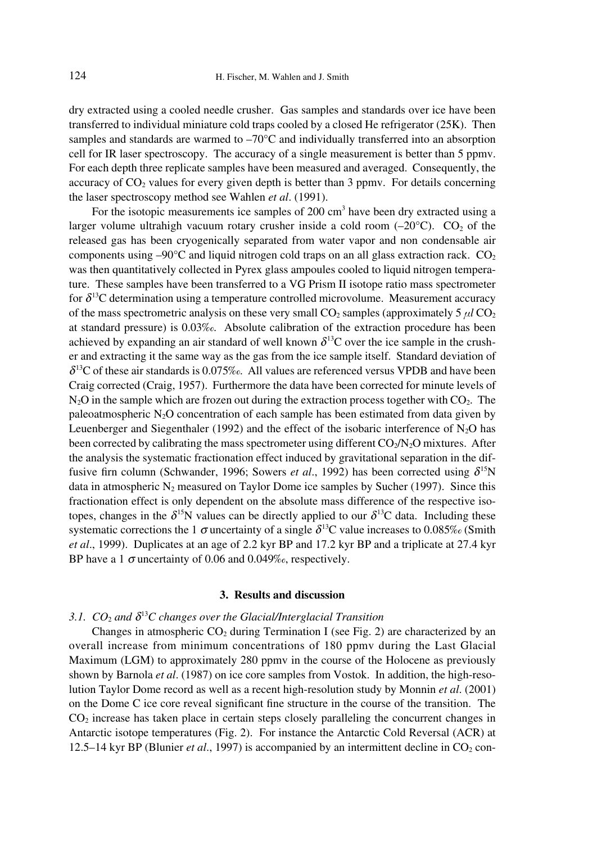dry extracted using a cooled needle crusher. Gas samples and standards over ice have been transferred to individual miniature cold traps cooled by a closed He refrigerator (25K). Then samples and standards are warmed to  $-70^{\circ}$ C and individually transferred into an absorption cell for IR laser spectroscopy. The accuracy of a single measurement is better than 5 ppmv. For each depth three replicate samples have been measured and averaged. Consequently, the accuracy of  $CO<sub>2</sub>$  values for every given depth is better than 3 ppmv. For details concerning the laser spectroscopy method see Wahlen *et al*. (1991).

For the isotopic measurements ice samples of 200 cm<sup>3</sup> have been dry extracted using a larger volume ultrahigh vacuum rotary crusher inside a cold room  $(-20^{\circ}C)$ . CO<sub>2</sub> of the released gas has been cryogenically separated from water vapor and non condensable air components using  $-90^{\circ}$ C and liquid nitrogen cold traps on an all glass extraction rack. CO<sub>2</sub> was then quantitatively collected in Pyrex glass ampoules cooled to liquid nitrogen temperature. These samples have been transferred to a VG Prism II isotope ratio mass spectrometer for  $\delta$ <sup>13</sup>C determination using a temperature controlled microvolume. Measurement accuracy of the mass spectrometric analysis on these very small  $CO<sub>2</sub>$  samples (approximately 5  $\mu$ *l*  $CO<sub>2</sub>$ ) at standard pressure) is 0.03‰. Absolute calibration of the extraction procedure has been achieved by expanding an air standard of well known  $\delta^{13}$ C over the ice sample in the crusher and extracting it the same way as the gas from the ice sample itself. Standard deviation of  $\delta$ <sup>13</sup>C of these air standards is 0.075‰. All values are referenced versus VPDB and have been Craig corrected (Craig, 1957). Furthermore the data have been corrected for minute levels of  $N_2O$  in the sample which are frozen out during the extraction process together with  $CO<sub>2</sub>$ . The paleoatmospheric  $N_2O$  concentration of each sample has been estimated from data given by Leuenberger and Siegenthaler (1992) and the effect of the isobaric interference of  $N_2O$  has been corrected by calibrating the mass spectrometer using different  $CO<sub>2</sub>/N<sub>2</sub>O$  mixtures. After the analysis the systematic fractionation effect induced by gravitational separation in the diffusive firn column (Schwander, 1996; Sowers *et al.*, 1992) has been corrected using  $\delta^{15}N$ data in atmospheric  $N_2$  measured on Taylor Dome ice samples by Sucher (1997). Since this fractionation effect is only dependent on the absolute mass difference of the respective isotopes, changes in the  $\delta^{15}N$  values can be directly applied to our  $\delta^{13}C$  data. Including these systematic corrections the 1  $\sigma$  uncertainty of a single  $\delta^{13}$ C value increases to 0.085‰ (Smith *et al*., 1999). Duplicates at an age of 2.2 kyr BP and 17.2 kyr BP and a triplicate at 27.4 kyr BP have a 1  $\sigma$  uncertainty of 0.06 and 0.049‰, respectively.

### **3. Results and discussion**

# *3.1. CO*<sup>2</sup> *and d*<sup>13</sup>*C changes over the Glacial/Interglacial Transition*

Changes in atmospheric  $CO<sub>2</sub>$  during Termination I (see Fig. 2) are characterized by an overall increase from minimum concentrations of 180 ppmv during the Last Glacial Maximum (LGM) to approximately 280 ppmv in the course of the Holocene as previously shown by Barnola *et al*. (1987) on ice core samples from Vostok. In addition, the high-resolution Taylor Dome record as well as a recent high-resolution study by Monnin *et al*. (2001) on the Dome C ice core reveal significant fine structure in the course of the transition. The CO2 increase has taken place in certain steps closely paralleling the concurrent changes in Antarctic isotope temperatures (Fig. 2). For instance the Antarctic Cold Reversal (ACR) at 12.5–14 kyr BP (Blunier *et al.*, 1997) is accompanied by an intermittent decline in  $CO<sub>2</sub>$  con-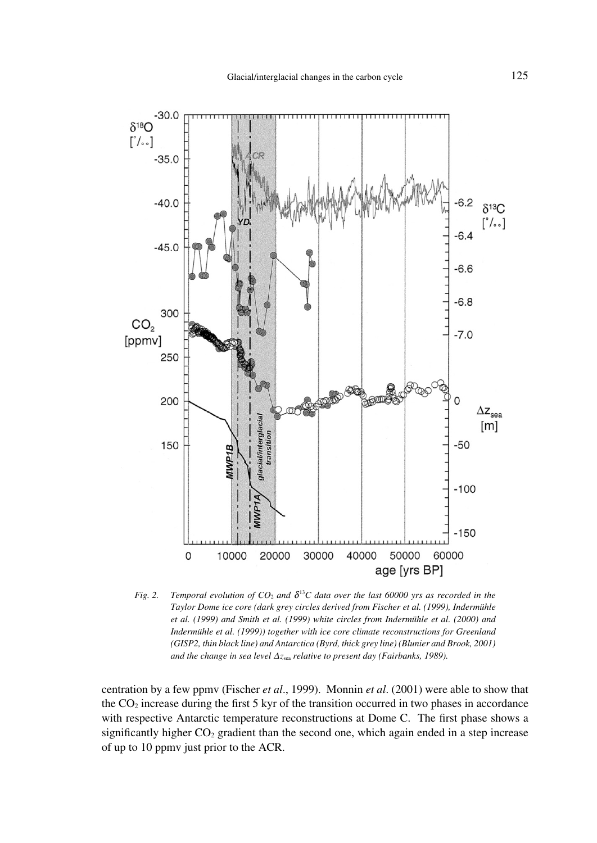

*Fig. 2.* Temporal evolution of  $CO_2$  and  $\delta^{13}C$  data over the last 60000 yrs as recorded in the *Taylor Dome ice core (dark grey circles derived from Fischer et al. (1999), Indermühle et al. (1999) and Smith et al. (1999) white circles from Indermühle et al. (2000) and Indermühle et al. (1999)) together with ice core climate reconstructions for Greenland (GISP2, thin black line) and Antarctica (Byrd, thick grey line) (Blunier and Brook, 2001)* and the change in sea level  $\Delta z_{\text{sea}}$  relative to present day (Fairbanks, 1989).

centration by a few ppmv (Fischer *et al*., 1999). Monnin *et al*. (2001) were able to show that the  $CO<sub>2</sub>$  increase during the first 5 kyr of the transition occurred in two phases in accordance with respective Antarctic temperature reconstructions at Dome C. The first phase shows a significantly higher  $CO<sub>2</sub>$  gradient than the second one, which again ended in a step increase of up to 10 ppmv just prior to the ACR.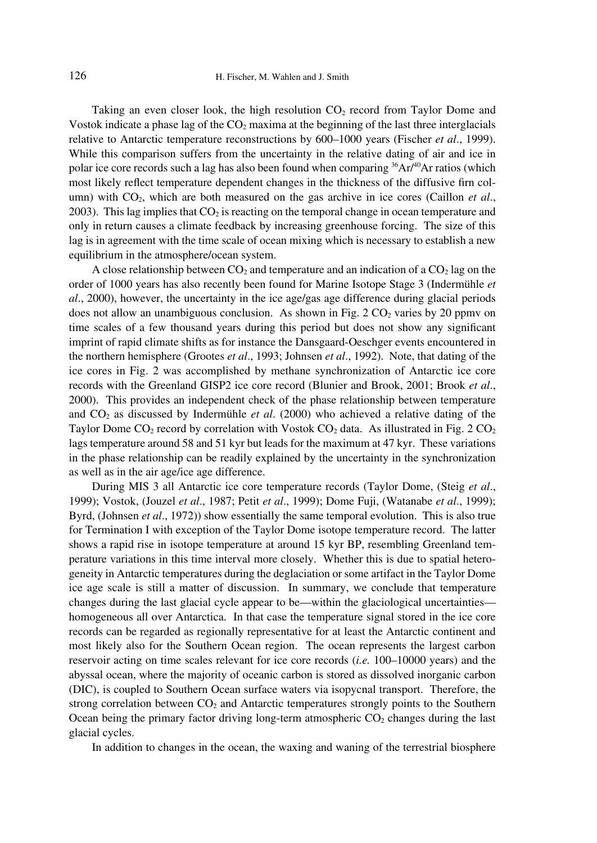Taking an even closer look, the high resolution  $CO<sub>2</sub>$  record from Taylor Dome and Vostok indicate a phase lag of the  $CO<sub>2</sub>$  maxima at the beginning of the last three interglacials relative to Antarctic temperature reconstructions by 600–1000 years (Fischer *et al*., 1999). While this comparison suffers from the uncertainty in the relative dating of air and ice in polar ice core records such a lag has also been found when comparing  ${}^{36}Ar^{40}Ar$  ratios (which most likely reflect temperature dependent changes in the thickness of the diffusive firn column) with CO<sub>2</sub>, which are both measured on the gas archive in ice cores (Caillon *et al.*, 2003). This lag implies that  $CO<sub>2</sub>$  is reacting on the temporal change in ocean temperature and only in return causes a climate feedback by increasing greenhouse forcing. The size of this lag is in agreement with the time scale of ocean mixing which is necessary to establish a new equilibrium in the atmosphere/ocean system.

A close relationship between  $CO<sub>2</sub>$  and temperature and an indication of a  $CO<sub>2</sub>$  lag on the order of 1000 years has also recently been found for Marine Isotope Stage 3 (Indermühle *et al*., 2000), however, the uncertainty in the ice age/gas age difference during glacial periods does not allow an unambiguous conclusion. As shown in Fig. 2  $CO<sub>2</sub>$  varies by 20 ppmy on time scales of a few thousand years during this period but does not show any significant imprint of rapid climate shifts as for instance the Dansgaard-Oeschger events encountered in the northern hemisphere (Grootes *et al*., 1993; Johnsen *et al*., 1992). Note, that dating of the ice cores in Fig. 2 was accomplished by methane synchronization of Antarctic ice core records with the Greenland GISP2 ice core record (Blunier and Brook, 2001; Brook *et al*., 2000). This provides an independent check of the phase relationship between temperature and  $CO<sub>2</sub>$  as discussed by Indermühle *et al.* (2000) who achieved a relative dating of the Taylor Dome  $CO_2$  record by correlation with Vostok  $CO_2$  data. As illustrated in Fig. 2  $CO_2$ lags temperature around 58 and 51 kyr but leads for the maximum at 47 kyr. These variations in the phase relationship can be readily explained by the uncertainty in the synchronization as well as in the air age/ice age difference.

During MIS 3 all Antarctic ice core temperature records (Taylor Dome, (Steig *et al*., 1999); Vostok, (Jouzel *et al*., 1987; Petit *et al*., 1999); Dome Fuji, (Watanabe *et al*., 1999); Byrd, (Johnsen *et al*., 1972)) show essentially the same temporal evolution. This is also true for Termination I with exception of the Taylor Dome isotope temperature record. The latter shows a rapid rise in isotope temperature at around 15 kyr BP, resembling Greenland temperature variations in this time interval more closely. Whether this is due to spatial heterogeneity in Antarctic temperatures during the deglaciation or some artifact in the Taylor Dome ice age scale is still a matter of discussion. In summary, we conclude that temperature changes during the last glacial cycle appear to be—within the glaciological uncertainties homogeneous all over Antarctica. In that case the temperature signal stored in the ice core records can be regarded as regionally representative for at least the Antarctic continent and most likely also for the Southern Ocean region. The ocean represents the largest carbon reservoir acting on time scales relevant for ice core records (*i.e.* 100–10000 years) and the abyssal ocean, where the majority of oceanic carbon is stored as dissolved inorganic carbon (DIC), is coupled to Southern Ocean surface waters via isopycnal transport. Therefore, the strong correlation between  $CO<sub>2</sub>$  and Antarctic temperatures strongly points to the Southern Ocean being the primary factor driving long-term atmospheric  $CO<sub>2</sub>$  changes during the last glacial cycles.

In addition to changes in the ocean, the waxing and waning of the terrestrial biosphere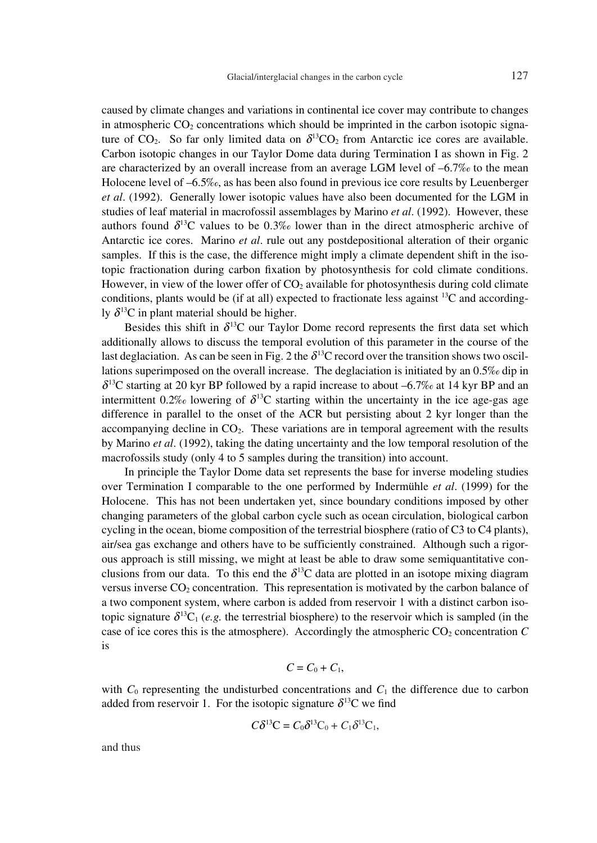caused by climate changes and variations in continental ice cover may contribute to changes in atmospheric  $CO<sub>2</sub>$  concentrations which should be imprinted in the carbon isotopic signature of  $CO<sub>2</sub>$ . So far only limited data on  $\delta^{13}CO_2$  from Antarctic ice cores are available. Carbon isotopic changes in our Taylor Dome data during Termination I as shown in Fig. 2 are characterized by an overall increase from an average LGM level of  $-6.7\%$  to the mean Holocene level of –6.5‰, as has been also found in previous ice core results by Leuenberger *et al*. (1992). Generally lower isotopic values have also been documented for the LGM in studies of leaf material in macrofossil assemblages by Marino *et al*. (1992). However, these authors found  $\delta^{13}$ C values to be 0.3‰ lower than in the direct atmospheric archive of Antarctic ice cores. Marino *et al*. rule out any postdepositional alteration of their organic samples. If this is the case, the difference might imply a climate dependent shift in the isotopic fractionation during carbon fixation by photosynthesis for cold climate conditions. However, in view of the lower offer of  $CO<sub>2</sub>$  available for photosynthesis during cold climate conditions, plants would be (if at all) expected to fractionate less against  ${}^{13}C$  and accordingly  $\delta^{13}$ C in plant material should be higher.

Besides this shift in  $\delta^{13}$ C our Taylor Dome record represents the first data set which additionally allows to discuss the temporal evolution of this parameter in the course of the last deglaciation. As can be seen in Fig. 2 the  $\delta^{13}$ C record over the transition shows two oscillations superimposed on the overall increase. The deglaciation is initiated by an 0.5‰ dip in  $\delta^{13}$ C starting at 20 kyr BP followed by a rapid increase to about –6.7‰ at 14 kyr BP and an intermittent 0.2‰ lowering of  $\delta^{13}$ C starting within the uncertainty in the ice age-gas age difference in parallel to the onset of the ACR but persisting about 2 kyr longer than the accompanying decline in  $CO<sub>2</sub>$ . These variations are in temporal agreement with the results by Marino *et al*. (1992), taking the dating uncertainty and the low temporal resolution of the macrofossils study (only 4 to 5 samples during the transition) into account.

In principle the Taylor Dome data set represents the base for inverse modeling studies over Termination I comparable to the one performed by Indermühle *et al*. (1999) for the Holocene. This has not been undertaken yet, since boundary conditions imposed by other changing parameters of the global carbon cycle such as ocean circulation, biological carbon cycling in the ocean, biome composition of the terrestrial biosphere (ratio of C3 to C4 plants), air/sea gas exchange and others have to be sufficiently constrained. Although such a rigorous approach is still missing, we might at least be able to draw some semiquantitative conclusions from our data. To this end the  $\delta^{13}$ C data are plotted in an isotope mixing diagram versus inverse  $CO<sub>2</sub>$  concentration. This representation is motivated by the carbon balance of a two component system, where carbon is added from reservoir 1 with a distinct carbon isotopic signature  $\delta^{13}C_1$  (*e.g.* the terrestrial biosphere) to the reservoir which is sampled (in the case of ice cores this is the atmosphere). Accordingly the atmospheric  $CO<sub>2</sub>$  concentration  $C$ is

$$
C=C_0+C_1,
$$

with  $C_0$  representing the undisturbed concentrations and  $C_1$  the difference due to carbon added from reservoir 1. For the isotopic signature  $\delta^{13}$ C we find

$$
C\delta^{13}\mathbf{C}=C_0\delta^{13}\mathbf{C}_0+C_1\delta^{13}\mathbf{C}_1,
$$

and thus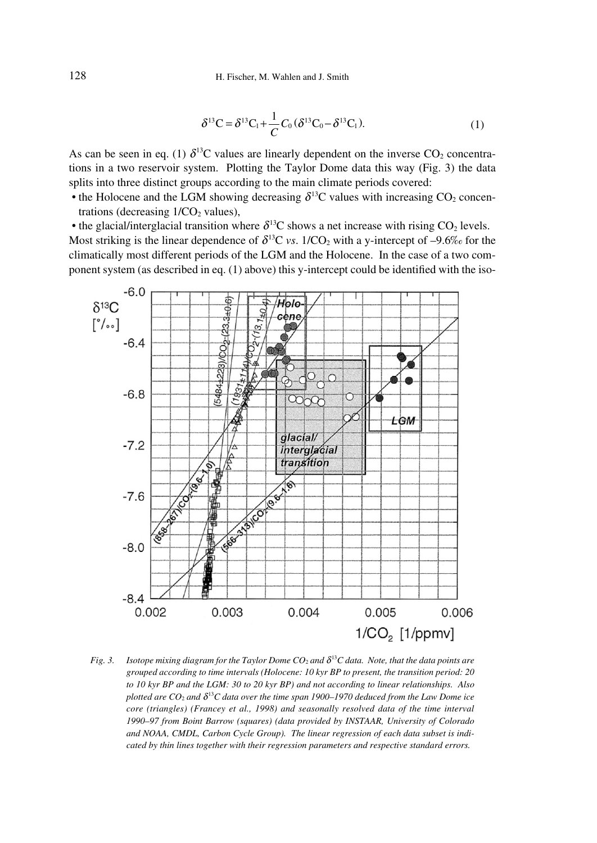$$
\delta^{13}C = \delta^{13}C_1 + \frac{1}{C}C_0(\delta^{13}C_0 - \delta^{13}C_1).
$$
 (1)

As can be seen in eq. (1)  $\delta^{13}$ C values are linearly dependent on the inverse CO<sub>2</sub> concentrations in a two reservoir system. Plotting the Taylor Dome data this way (Fig. 3) the data splits into three distinct groups according to the main climate periods covered:

• the Holocene and the LGM showing decreasing  $\delta^{13}$ C values with increasing CO<sub>2</sub> concentrations (decreasing  $1/CO<sub>2</sub>$  values),

• the glacial/interglacial transition where  $\delta^{13}$ C shows a net increase with rising CO<sub>2</sub> levels. Most striking is the linear dependence of  $\delta^{13}C$  *vs.* 1/CO<sub>2</sub> with a y-intercept of -9.6‰ for the climatically most different periods of the LGM and the Holocene. In the case of a two component system (as described in eq. (1) above) this y-intercept could be identified with the iso-



*Fig. 3. Isotope mixing diagram for the Taylor Dome CO<sub>2</sub> and*  $\delta^{13}$ *C data. Note, that the data points are grouped according to time intervals (Holocene: 10 kyr BP to present, the transition period: 20 to 10 kyr BP and the LGM: 30 to 20 kyr BP) and not according to linear relationships. Also plotted are*  $CO_2$  *and*  $\delta^{13}C$  *data over the time span 1900–1970 deduced from the Law Dome ice core (triangles) (Francey et al., 1998) and seasonally resolved data of the time interval 1990–97 from Boint Barrow (squares) (data provided by INSTAAR, University of Colorado and NOAA, CMDL, Carbon Cycle Group). The linear regression of each data subset is indicated by thin lines together with their regression parameters and respective standard errors.*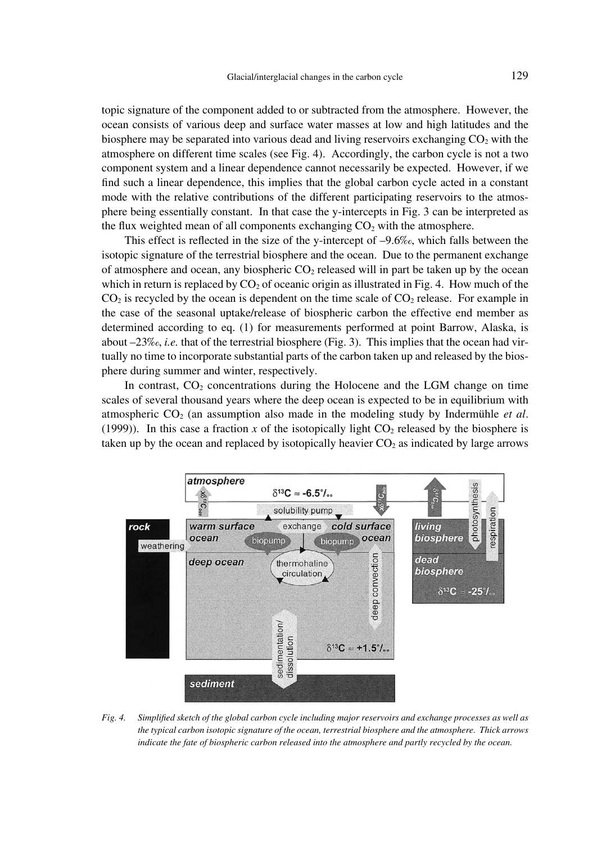topic signature of the component added to or subtracted from the atmosphere. However, the ocean consists of various deep and surface water masses at low and high latitudes and the biosphere may be separated into various dead and living reservoirs exchanging  $CO<sub>2</sub>$  with the atmosphere on different time scales (see Fig. 4). Accordingly, the carbon cycle is not a two component system and a linear dependence cannot necessarily be expected. However, if we find such a linear dependence, this implies that the global carbon cycle acted in a constant mode with the relative contributions of the different participating reservoirs to the atmosphere being essentially constant. In that case the y-intercepts in Fig. 3 can be interpreted as the flux weighted mean of all components exchanging  $CO<sub>2</sub>$  with the atmosphere.

This effect is reflected in the size of the y-intercept of  $-9.6\%$ , which falls between the isotopic signature of the terrestrial biosphere and the ocean. Due to the permanent exchange of atmosphere and ocean, any biospheric  $CO<sub>2</sub>$  released will in part be taken up by the ocean which in return is replaced by  $CO<sub>2</sub>$  of oceanic origin as illustrated in Fig. 4. How much of the  $CO<sub>2</sub>$  is recycled by the ocean is dependent on the time scale of  $CO<sub>2</sub>$  release. For example in the case of the seasonal uptake/release of biospheric carbon the effective end member as determined according to eq. (1) for measurements performed at point Barrow, Alaska, is about –23‰, *i.e.* that of the terrestrial biosphere (Fig. 3). This implies that the ocean had virtually no time to incorporate substantial parts of the carbon taken up and released by the biosphere during summer and winter, respectively.

In contrast,  $CO<sub>2</sub>$  concentrations during the Holocene and the LGM change on time scales of several thousand years where the deep ocean is expected to be in equilibrium with atmospheric CO2 (an assumption also made in the modeling study by Indermühle *et al*. (1999)). In this case a fraction  $x$  of the isotopically light  $CO<sub>2</sub>$  released by the biosphere is taken up by the ocean and replaced by isotopically heavier  $CO<sub>2</sub>$  as indicated by large arrows



*Fig. 4. Simplified sketch of the global carbon cycle including major reservoirs and exchange processes as well as the typical carbon isotopic signature of the ocean, terrestrial biosphere and the atmosphere. Thick arrows indicate the fate of biospheric carbon released into the atmosphere and partly recycled by the ocean.*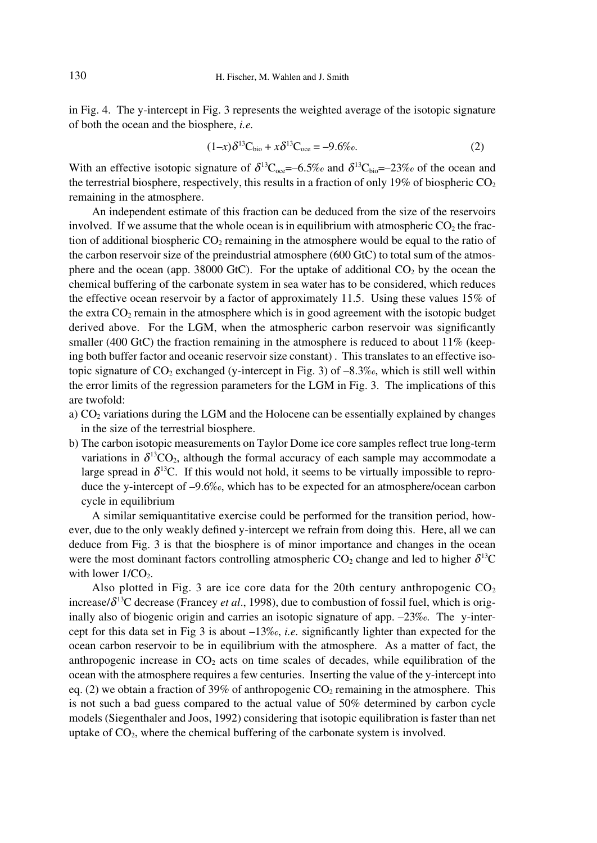in Fig. 4. The y-intercept in Fig. 3 represents the weighted average of the isotopic signature of both the ocean and the biosphere, *i.e.*

$$
(1-x)\delta^{13}C_{bio} + x\delta^{13}C_{oce} = -9.6\%o.
$$
 (2)

With an effective isotopic signature of  $\delta^{13}C_{\text{one}}=6.5\%$  and  $\delta^{13}C_{\text{bio}}=23\%$  of the ocean and the terrestrial biosphere, respectively, this results in a fraction of only 19% of biospheric  $CO<sub>2</sub>$ remaining in the atmosphere.

An independent estimate of this fraction can be deduced from the size of the reservoirs involved. If we assume that the whole ocean is in equilibrium with atmospheric  $CO<sub>2</sub>$  the fraction of additional biospheric  $CO<sub>2</sub>$  remaining in the atmosphere would be equal to the ratio of the carbon reservoir size of the preindustrial atmosphere (600 GtC) to total sum of the atmosphere and the ocean (app. 38000 GtC). For the uptake of additional  $CO<sub>2</sub>$  by the ocean the chemical buffering of the carbonate system in sea water has to be considered, which reduces the effective ocean reservoir by a factor of approximately 11.5. Using these values 15% of the extra  $CO<sub>2</sub>$  remain in the atmosphere which is in good agreement with the isotopic budget derived above. For the LGM, when the atmospheric carbon reservoir was significantly smaller (400 GtC) the fraction remaining in the atmosphere is reduced to about  $11\%$  (keeping both buffer factor and oceanic reservoir size constant) . This translates to an effective isotopic signature of  $CO_2$  exchanged (y-intercept in Fig. 3) of  $-8.3\%$ , which is still well within the error limits of the regression parameters for the LGM in Fig. 3. The implications of this are twofold:

- a)  $CO<sub>2</sub>$  variations during the LGM and the Holocene can be essentially explained by changes in the size of the terrestrial biosphere.
- b) The carbon isotopic measurements on Taylor Dome ice core samples reflect true long-term variations in  $\delta^{13}CO_2$ , although the formal accuracy of each sample may accommodate a large spread in  $\delta^{13}$ C. If this would not hold, it seems to be virtually impossible to reproduce the y-intercept of –9.6‰, which has to be expected for an atmosphere/ocean carbon cycle in equilibrium

A similar semiquantitative exercise could be performed for the transition period, however, due to the only weakly defined y-intercept we refrain from doing this. Here, all we can deduce from Fig. 3 is that the biosphere is of minor importance and changes in the ocean were the most dominant factors controlling atmospheric  $CO_2$  change and led to higher  $\delta^{13}C$ with lower  $1/CO<sub>2</sub>$ .

Also plotted in Fig. 3 are ice core data for the 20th century anthropogenic  $CO<sub>2</sub>$ increase/ $\delta^{13}$ C decrease (Francey *et al.*, 1998), due to combustion of fossil fuel, which is originally also of biogenic origin and carries an isotopic signature of app. –23‰. The y-intercept for this data set in Fig 3 is about –13‰, *i.e.* significantly lighter than expected for the ocean carbon reservoir to be in equilibrium with the atmosphere. As a matter of fact, the anthropogenic increase in  $CO<sub>2</sub>$  acts on time scales of decades, while equilibration of the ocean with the atmosphere requires a few centuries. Inserting the value of the y-intercept into eq. (2) we obtain a fraction of 39% of anthropogenic  $CO<sub>2</sub>$  remaining in the atmosphere. This is not such a bad guess compared to the actual value of 50% determined by carbon cycle models (Siegenthaler and Joos, 1992) considering that isotopic equilibration is faster than net uptake of  $CO<sub>2</sub>$ , where the chemical buffering of the carbonate system is involved.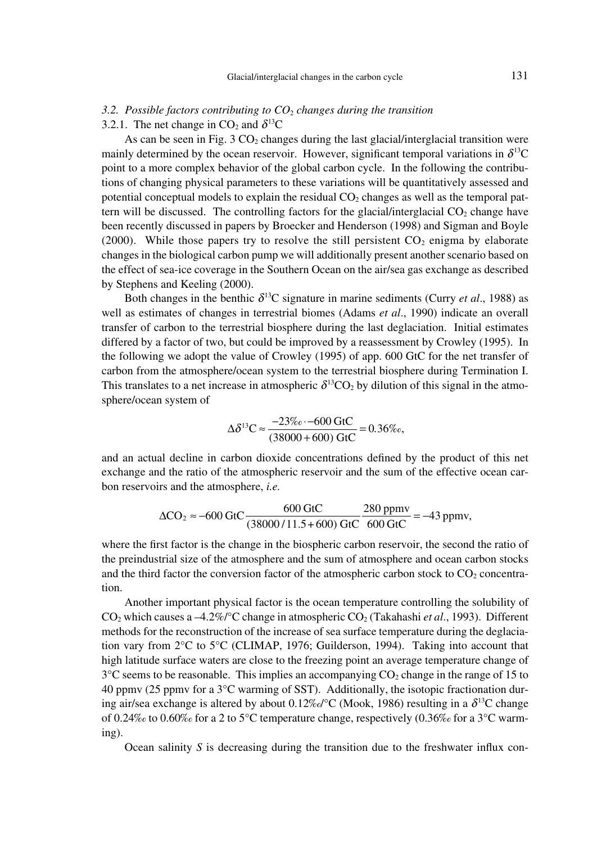## *3.2. Possible factors contributing to CO*<sup>2</sup> *changes during the transition*

3.2.1. The net change in  $CO<sub>2</sub>$  and  $\delta^{13}C$ 

As can be seen in Fig. 3  $CO<sub>2</sub>$  changes during the last glacial/interglacial transition were mainly determined by the ocean reservoir. However, significant temporal variations in  $\delta^{13}C$ point to a more complex behavior of the global carbon cycle. In the following the contributions of changing physical parameters to these variations will be quantitatively assessed and potential conceptual models to explain the residual  $CO<sub>2</sub>$  changes as well as the temporal pattern will be discussed. The controlling factors for the glacial/interglacial  $CO<sub>2</sub>$  change have been recently discussed in papers by Broecker and Henderson (1998) and Sigman and Boyle (2000). While those papers try to resolve the still persistent  $CO<sub>2</sub>$  enigma by elaborate changes in the biological carbon pump we will additionally present another scenario based on the effect of sea-ice coverage in the Southern Ocean on the air/sea gas exchange as described by Stephens and Keeling (2000).

Both changes in the benthic  $\delta^{13}$ C signature in marine sediments (Curry *et al.*, 1988) as well as estimates of changes in terrestrial biomes (Adams *et al*., 1990) indicate an overall transfer of carbon to the terrestrial biosphere during the last deglaciation. Initial estimates differed by a factor of two, but could be improved by a reassessment by Crowley (1995). In the following we adopt the value of Crowley (1995) of app. 600 GtC for the net transfer of carbon from the atmosphere/ocean system to the terrestrial biosphere during Termination I. This translates to a net increase in atmospheric  $\delta^{13}CO_2$  by dilution of this signal in the atmosphere/ocean system of

$$
\Delta \delta^{13} \text{C} \approx \frac{-23\% \cdot -600 \text{ GtC}}{(38000 + 600) \text{ GtC}} = 0.36\%.
$$

and an actual decline in carbon dioxide concentrations defined by the product of this net exchange and the ratio of the atmospheric reservoir and the sum of the effective ocean carbon reservoirs and the atmosphere, *i.e.*

$$
\Delta CO_2 \approx -600 \text{ GtC} \frac{600 \text{ GtC}}{(38000/11.5 + 600) \text{ GtC}} \frac{280 \text{ ppmv}}{600 \text{ GtC}} = -43 \text{ ppmv},
$$

where the first factor is the change in the biospheric carbon reservoir, the second the ratio of the preindustrial size of the atmosphere and the sum of atmosphere and ocean carbon stocks and the third factor the conversion factor of the atmospheric carbon stock to  $CO<sub>2</sub>$  concentration.

Another important physical factor is the ocean temperature controlling the solubility of CO2 which causes a –4.2%/°C change in atmospheric CO2 (Takahashi *et al*., 1993). Different methods for the reconstruction of the increase of sea surface temperature during the deglaciation vary from 2°C to 5°C (CLIMAP, 1976; Guilderson, 1994). Taking into account that high latitude surface waters are close to the freezing point an average temperature change of  $3^{\circ}$ C seems to be reasonable. This implies an accompanying  $CO_2$  change in the range of 15 to 40 ppmv (25 ppmv for a 3°C warming of SST). Additionally, the isotopic fractionation during air/sea exchange is altered by about  $0.12\%$  °C (Mook, 1986) resulting in a  $\delta^{13}$ C change of 0.24‰ to 0.60‰ for a 2 to 5°C temperature change, respectively  $(0.36\% \text{ of or a } 3^{\circ} \text{C warm-}$ ing).

Ocean salinity *S* is decreasing during the transition due to the freshwater influx con-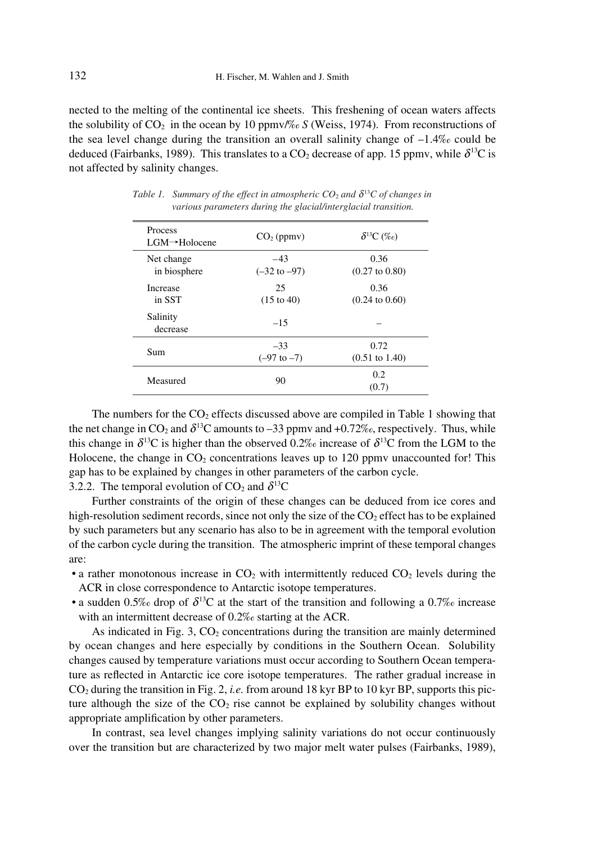nected to the melting of the continental ice sheets. This freshening of ocean waters affects the solubility of  $CO<sub>2</sub>$  in the ocean by 10 ppmv/% *S* (Weiss, 1974). From reconstructions of the sea level change during the transition an overall salinity change of  $-1.4\%$  could be deduced (Fairbanks, 1989). This translates to a CO<sub>2</sub> decrease of app. 15 ppmy, while  $\delta^{13}$ C is not affected by salinity changes.

| <b>Process</b><br>$LGM \rightarrow$ Holocene | $CO2$ (ppmv)                     | $\delta^{13}C \; (\%_0)$          |
|----------------------------------------------|----------------------------------|-----------------------------------|
| Net change<br>in biosphere                   | $-43$<br>$(-32 \text{ to } -97)$ | 0.36<br>$(0.27 \text{ to } 0.80)$ |
| <i><u>Increase</u></i><br>in SST             | 25<br>$(15 \text{ to } 40)$      | 0.36<br>$(0.24 \text{ to } 0.60)$ |
| Salinity<br>decrease                         | $-1.5$                           |                                   |
| Sum                                          | $-33$<br>$(-97 \text{ to } -7)$  | 0.72<br>$(0.51 \text{ to } 1.40)$ |
| Measured                                     | 90                               | 0.2<br>(0.7)                      |

*Table 1.* Summary of the effect in atmospheric  $CO_2$  and  $\delta^{13}C$  of changes in *various parameters during the glacial/interglacial transition.*

The numbers for the  $CO<sub>2</sub>$  effects discussed above are compiled in Table 1 showing that the net change in  $CO_2$  and  $\delta^{13}C$  amounts to –33 ppmv and +0.72‰, respectively. Thus, while this change in  $\delta^{13}C$  is higher than the observed 0.2‰ increase of  $\delta^{13}C$  from the LGM to the Holocene, the change in  $CO<sub>2</sub>$  concentrations leaves up to 120 ppmv unaccounted for! This gap has to be explained by changes in other parameters of the carbon cycle. 3.2.2. The temporal evolution of  $CO_2$  and  $\delta^{13}C$ 

Further constraints of the origin of these changes can be deduced from ice cores and high-resolution sediment records, since not only the size of the  $CO<sub>2</sub>$  effect has to be explained by such parameters but any scenario has also to be in agreement with the temporal evolution of the carbon cycle during the transition. The atmospheric imprint of these temporal changes are:

- a rather monotonous increase in  $CO<sub>2</sub>$  with intermittently reduced  $CO<sub>2</sub>$  levels during the ACR in close correspondence to Antarctic isotope temperatures.
- a sudden 0.5‰ drop of  $\delta^{13}C$  at the start of the transition and following a 0.7‰ increase with an intermittent decrease of 0.2‰ starting at the ACR.

As indicated in Fig. 3,  $CO<sub>2</sub>$  concentrations during the transition are mainly determined by ocean changes and here especially by conditions in the Southern Ocean. Solubility changes caused by temperature variations must occur according to Southern Ocean temperature as reflected in Antarctic ice core isotope temperatures. The rather gradual increase in CO2 during the transition in Fig. 2, *i.e.* from around 18 kyr BP to 10 kyr BP, supports this picture although the size of the  $CO<sub>2</sub>$  rise cannot be explained by solubility changes without appropriate amplification by other parameters.

In contrast, sea level changes implying salinity variations do not occur continuously over the transition but are characterized by two major melt water pulses (Fairbanks, 1989),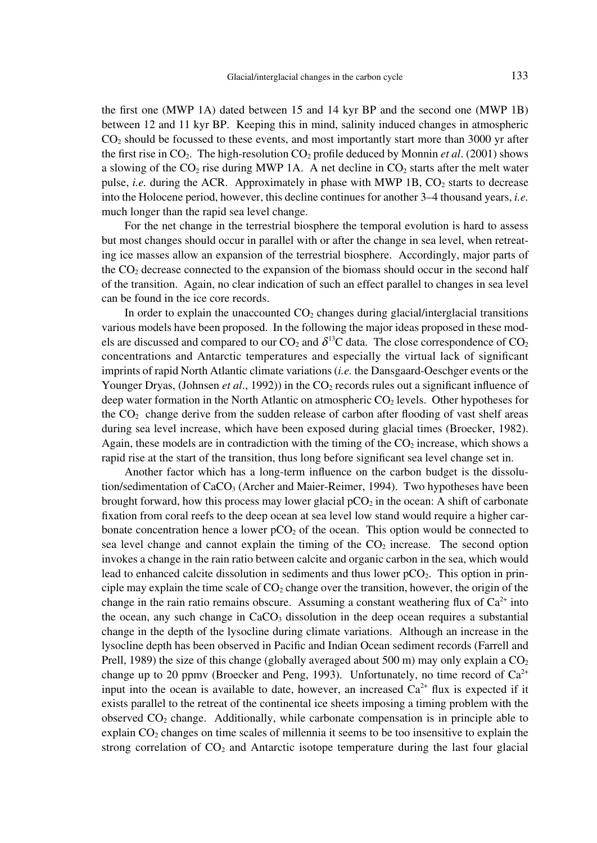the first one (MWP 1A) dated between 15 and 14 kyr BP and the second one (MWP 1B) between 12 and 11 kyr BP. Keeping this in mind, salinity induced changes in atmospheric  $CO<sub>2</sub>$  should be focussed to these events, and most importantly start more than 3000 yr after the first rise in  $CO<sub>2</sub>$ . The high-resolution  $CO<sub>2</sub>$  profile deduced by Monnin *et al.* (2001) shows a slowing of the  $CO<sub>2</sub>$  rise during MWP 1A. A net decline in  $CO<sub>2</sub>$  starts after the melt water pulse, *i.e.* during the ACR. Approximately in phase with MWP  $1B$ ,  $CO<sub>2</sub>$  starts to decrease into the Holocene period, however, this decline continues for another 3–4 thousand years, *i.e.* much longer than the rapid sea level change.

For the net change in the terrestrial biosphere the temporal evolution is hard to assess but most changes should occur in parallel with or after the change in sea level, when retreating ice masses allow an expansion of the terrestrial biosphere. Accordingly, major parts of the  $CO<sub>2</sub>$  decrease connected to the expansion of the biomass should occur in the second half of the transition. Again, no clear indication of such an effect parallel to changes in sea level can be found in the ice core records.

In order to explain the unaccounted  $CO<sub>2</sub>$  changes during glacial/interglacial transitions various models have been proposed. In the following the major ideas proposed in these models are discussed and compared to our  $CO_2$  and  $\delta^{13}C$  data. The close correspondence of  $CO_2$ concentrations and Antarctic temperatures and especially the virtual lack of significant imprints of rapid North Atlantic climate variations (*i.e.* the Dansgaard-Oeschger events or the Younger Dryas, (Johnsen *et al.*, 1992)) in the CO<sub>2</sub> records rules out a significant influence of deep water formation in the North Atlantic on atmospheric CO<sub>2</sub> levels. Other hypotheses for the  $CO<sub>2</sub>$  change derive from the sudden release of carbon after flooding of vast shelf areas during sea level increase, which have been exposed during glacial times (Broecker, 1982). Again, these models are in contradiction with the timing of the  $CO<sub>2</sub>$  increase, which shows a rapid rise at the start of the transition, thus long before significant sea level change set in.

Another factor which has a long-term influence on the carbon budget is the dissolution/sedimentation of  $CaCO<sub>3</sub>$  (Archer and Maier-Reimer, 1994). Two hypotheses have been brought forward, how this process may lower glacial  $pCO<sub>2</sub>$  in the ocean: A shift of carbonate fixation from coral reefs to the deep ocean at sea level low stand would require a higher carbonate concentration hence a lower  $pCO<sub>2</sub>$  of the ocean. This option would be connected to sea level change and cannot explain the timing of the  $CO<sub>2</sub>$  increase. The second option invokes a change in the rain ratio between calcite and organic carbon in the sea, which would lead to enhanced calcite dissolution in sediments and thus lower  $pCO<sub>2</sub>$ . This option in principle may explain the time scale of  $CO<sub>2</sub>$  change over the transition, however, the origin of the change in the rain ratio remains obscure. Assuming a constant weathering flux of  $Ca^{2+}$  into the ocean, any such change in  $CaCO<sub>3</sub>$  dissolution in the deep ocean requires a substantial change in the depth of the lysocline during climate variations. Although an increase in the lysocline depth has been observed in Pacific and Indian Ocean sediment records (Farrell and Prell, 1989) the size of this change (globally averaged about 500 m) may only explain a  $CO<sub>2</sub>$ change up to 20 ppmv (Broecker and Peng, 1993). Unfortunately, no time record of  $Ca^{2+}$ input into the ocean is available to date, however, an increased  $Ca<sup>2+</sup>$  flux is expected if it exists parallel to the retreat of the continental ice sheets imposing a timing problem with the observed  $CO<sub>2</sub>$  change. Additionally, while carbonate compensation is in principle able to explain  $CO<sub>2</sub>$  changes on time scales of millennia it seems to be too insensitive to explain the strong correlation of  $CO<sub>2</sub>$  and Antarctic isotope temperature during the last four glacial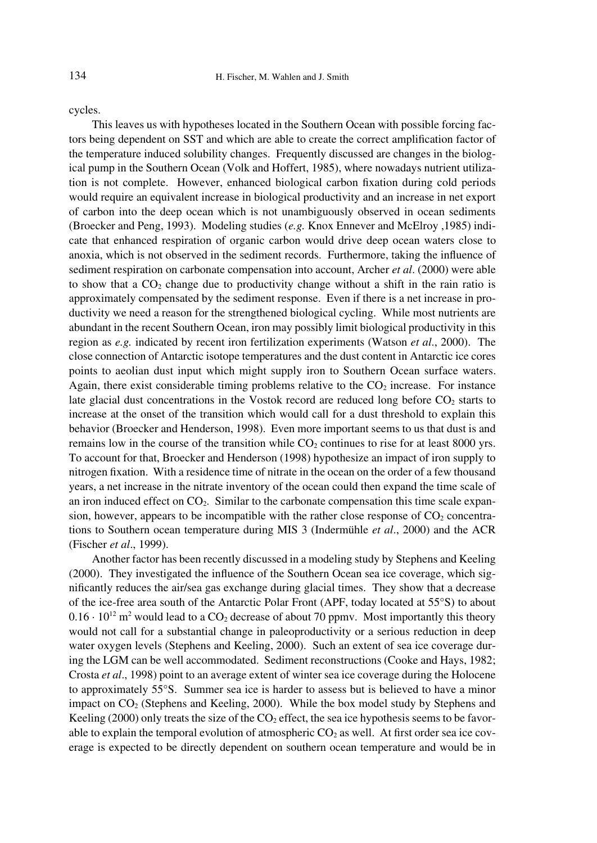cycles.

This leaves us with hypotheses located in the Southern Ocean with possible forcing factors being dependent on SST and which are able to create the correct amplification factor of the temperature induced solubility changes. Frequently discussed are changes in the biological pump in the Southern Ocean (Volk and Hoffert, 1985), where nowadays nutrient utilization is not complete. However, enhanced biological carbon fixation during cold periods would require an equivalent increase in biological productivity and an increase in net export of carbon into the deep ocean which is not unambiguously observed in ocean sediments (Broecker and Peng, 1993). Modeling studies (*e.g.* Knox Ennever and McElroy ,1985) indicate that enhanced respiration of organic carbon would drive deep ocean waters close to anoxia, which is not observed in the sediment records. Furthermore, taking the influence of sediment respiration on carbonate compensation into account, Archer *et al*. (2000) were able to show that a  $CO<sub>2</sub>$  change due to productivity change without a shift in the rain ratio is approximately compensated by the sediment response. Even if there is a net increase in productivity we need a reason for the strengthened biological cycling. While most nutrients are abundant in the recent Southern Ocean, iron may possibly limit biological productivity in this region as *e.g.* indicated by recent iron fertilization experiments (Watson *et al*., 2000). The close connection of Antarctic isotope temperatures and the dust content in Antarctic ice cores points to aeolian dust input which might supply iron to Southern Ocean surface waters. Again, there exist considerable timing problems relative to the  $CO<sub>2</sub>$  increase. For instance late glacial dust concentrations in the Vostok record are reduced long before  $CO<sub>2</sub>$  starts to increase at the onset of the transition which would call for a dust threshold to explain this behavior (Broecker and Henderson, 1998). Even more important seems to us that dust is and remains low in the course of the transition while  $CO<sub>2</sub>$  continues to rise for at least 8000 yrs. To account for that, Broecker and Henderson (1998) hypothesize an impact of iron supply to nitrogen fixation. With a residence time of nitrate in the ocean on the order of a few thousand years, a net increase in the nitrate inventory of the ocean could then expand the time scale of an iron induced effect on  $CO<sub>2</sub>$ . Similar to the carbonate compensation this time scale expansion, however, appears to be incompatible with the rather close response of  $CO<sub>2</sub>$  concentrations to Southern ocean temperature during MIS 3 (Indermühle *et al*., 2000) and the ACR (Fischer *et al*., 1999).

Another factor has been recently discussed in a modeling study by Stephens and Keeling (2000). They investigated the influence of the Southern Ocean sea ice coverage, which significantly reduces the air/sea gas exchange during glacial times. They show that a decrease of the ice-free area south of the Antarctic Polar Front (APF, today located at 55°S) to about  $0.16 \cdot 10^{12}$  m<sup>2</sup> would lead to a CO<sub>2</sub> decrease of about 70 ppmv. Most importantly this theory would not call for a substantial change in paleoproductivity or a serious reduction in deep water oxygen levels (Stephens and Keeling, 2000). Such an extent of sea ice coverage during the LGM can be well accommodated. Sediment reconstructions (Cooke and Hays, 1982; Crosta *et al*., 1998) point to an average extent of winter sea ice coverage during the Holocene to approximately 55°S. Summer sea ice is harder to assess but is believed to have a minor impact on  $CO<sub>2</sub>$  (Stephens and Keeling, 2000). While the box model study by Stephens and Keeling (2000) only treats the size of the  $CO<sub>2</sub>$  effect, the sea ice hypothesis seems to be favorable to explain the temporal evolution of atmospheric  $CO<sub>2</sub>$  as well. At first order sea ice coverage is expected to be directly dependent on southern ocean temperature and would be in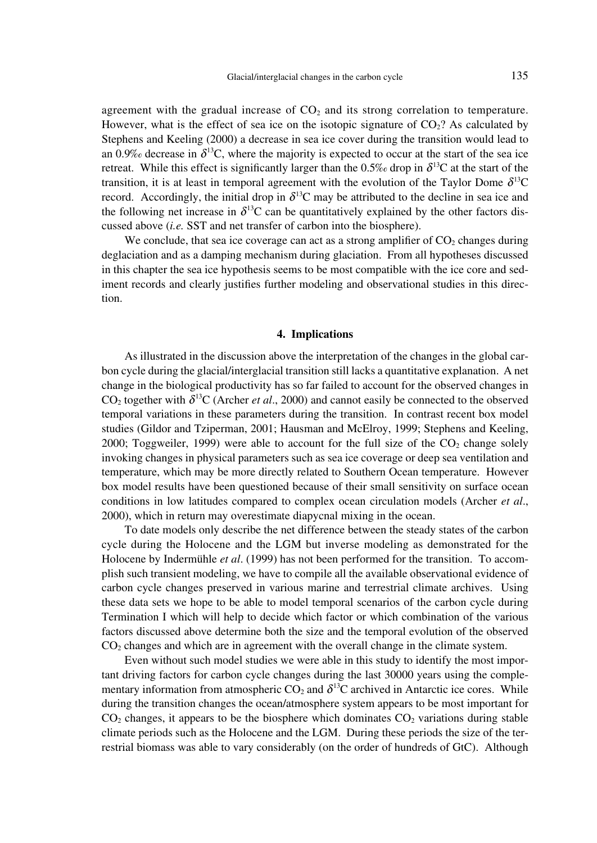agreement with the gradual increase of  $CO<sub>2</sub>$  and its strong correlation to temperature. However, what is the effect of sea ice on the isotopic signature of  $CO<sub>2</sub>$ ? As calculated by Stephens and Keeling (2000) a decrease in sea ice cover during the transition would lead to an 0.9‰ decrease in  $\delta^{13}$ C, where the majority is expected to occur at the start of the sea ice retreat. While this effect is significantly larger than the  $0.5\%$  drop in  $\delta^{13}C$  at the start of the transition, it is at least in temporal agreement with the evolution of the Taylor Dome  $\delta^{13}C$ record. Accordingly, the initial drop in  $\delta^{13}$ C may be attributed to the decline in sea ice and the following net increase in  $\delta^{13}C$  can be quantitatively explained by the other factors discussed above (*i.e.* SST and net transfer of carbon into the biosphere).

We conclude, that sea ice coverage can act as a strong amplifier of  $CO<sub>2</sub>$  changes during deglaciation and as a damping mechanism during glaciation. From all hypotheses discussed in this chapter the sea ice hypothesis seems to be most compatible with the ice core and sediment records and clearly justifies further modeling and observational studies in this direction.

### **4. Implications**

As illustrated in the discussion above the interpretation of the changes in the global carbon cycle during the glacial/interglacial transition still lacks a quantitative explanation. A net change in the biological productivity has so far failed to account for the observed changes in  $CO<sub>2</sub>$  together with  $\delta^{13}C$  (Archer *et al.*, 2000) and cannot easily be connected to the observed temporal variations in these parameters during the transition. In contrast recent box model studies (Gildor and Tziperman, 2001; Hausman and McElroy, 1999; Stephens and Keeling, 2000; Toggweiler, 1999) were able to account for the full size of the  $CO<sub>2</sub>$  change solely invoking changes in physical parameters such as sea ice coverage or deep sea ventilation and temperature, which may be more directly related to Southern Ocean temperature. However box model results have been questioned because of their small sensitivity on surface ocean conditions in low latitudes compared to complex ocean circulation models (Archer *et al*., 2000), which in return may overestimate diapycnal mixing in the ocean.

To date models only describe the net difference between the steady states of the carbon cycle during the Holocene and the LGM but inverse modeling as demonstrated for the Holocene by Indermühle *et al*. (1999) has not been performed for the transition. To accomplish such transient modeling, we have to compile all the available observational evidence of carbon cycle changes preserved in various marine and terrestrial climate archives. Using these data sets we hope to be able to model temporal scenarios of the carbon cycle during Termination I which will help to decide which factor or which combination of the various factors discussed above determine both the size and the temporal evolution of the observed CO2 changes and which are in agreement with the overall change in the climate system.

Even without such model studies we were able in this study to identify the most important driving factors for carbon cycle changes during the last 30000 years using the complementary information from atmospheric  $CO_2$  and  $\delta^{13}C$  archived in Antarctic ice cores. While during the transition changes the ocean/atmosphere system appears to be most important for  $CO<sub>2</sub>$  changes, it appears to be the biosphere which dominates  $CO<sub>2</sub>$  variations during stable climate periods such as the Holocene and the LGM. During these periods the size of the terrestrial biomass was able to vary considerably (on the order of hundreds of GtC). Although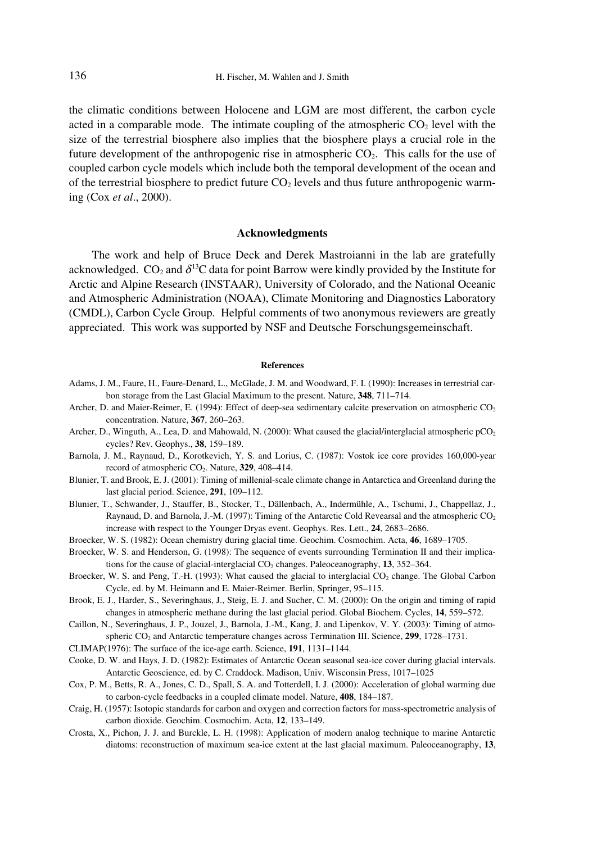the climatic conditions between Holocene and LGM are most different, the carbon cycle acted in a comparable mode. The intimate coupling of the atmospheric  $CO<sub>2</sub>$  level with the size of the terrestrial biosphere also implies that the biosphere plays a crucial role in the future development of the anthropogenic rise in atmospheric  $CO<sub>2</sub>$ . This calls for the use of coupled carbon cycle models which include both the temporal development of the ocean and of the terrestrial biosphere to predict future  $CO<sub>2</sub>$  levels and thus future anthropogenic warming (Cox *et al*., 2000).

#### **Acknowledgments**

The work and help of Bruce Deck and Derek Mastroianni in the lab are gratefully acknowledged. CO<sub>2</sub> and  $\delta^{13}$ C data for point Barrow were kindly provided by the Institute for Arctic and Alpine Research (INSTAAR), University of Colorado, and the National Oceanic and Atmospheric Administration (NOAA), Climate Monitoring and Diagnostics Laboratory (CMDL), Carbon Cycle Group. Helpful comments of two anonymous reviewers are greatly appreciated. This work was supported by NSF and Deutsche Forschungsgemeinschaft.

#### **References**

- Adams, J. M., Faure, H., Faure-Denard, L., McGlade, J. M. and Woodward, F. I. (1990): Increases in terrestrial carbon storage from the Last Glacial Maximum to the present. Nature, **348**, 711–714.
- Archer, D. and Maier-Reimer, E. (1994): Effect of deep-sea sedimentary calcite preservation on atmospheric CO<sub>2</sub> concentration. Nature, **367**, 260–263.
- Archer, D., Winguth, A., Lea, D. and Mahowald, N. (2000): What caused the glacial/interglacial atmospheric  $pCO<sub>2</sub>$ cycles? Rev. Geophys., **38**, 159–189.
- Barnola, J. M., Raynaud, D., Korotkevich, Y. S. and Lorius, C. (1987): Vostok ice core provides 160,000-year record of atmospheric CO2. Nature, **329**, 408–414.
- Blunier, T. and Brook, E. J. (2001): Timing of millenial-scale climate change in Antarctica and Greenland during the last glacial period. Science, **291**, 109–112.
- Blunier, T., Schwander, J., Stauffer, B., Stocker, T., Dällenbach, A., Indermühle, A., Tschumi, J., Chappellaz, J., Raynaud, D. and Barnola, J.-M. (1997): Timing of the Antarctic Cold Revearsal and the atmospheric CO<sub>2</sub> increase with respect to the Younger Dryas event. Geophys. Res. Lett., **24**, 2683–2686.
- Broecker, W. S. (1982): Ocean chemistry during glacial time. Geochim. Cosmochim. Acta, **46**, 1689–1705.
- Broecker, W. S. and Henderson, G. (1998): The sequence of events surrounding Termination II and their implications for the cause of glacial-interglacial CO<sub>2</sub> changes. Paleoceanography, **13**, 352–364.
- Broecker, W. S. and Peng, T.-H. (1993): What caused the glacial to interglacial CO<sub>2</sub> change. The Global Carbon Cycle, ed. by M. Heimann and E. Maier-Reimer. Berlin, Springer, 95–115.
- Brook, E. J., Harder, S., Severinghaus, J., Steig, E. J. and Sucher, C. M. (2000): On the origin and timing of rapid changes in atmospheric methane during the last glacial period. Global Biochem. Cycles, **14**, 559–572.
- Caillon, N., Severinghaus, J. P., Jouzel, J., Barnola, J.-M., Kang, J. and Lipenkov, V. Y. (2003): Timing of atmospheric CO2 and Antarctic temperature changes across Termination III. Science, **299**, 1728–1731.
- CLIMAP(1976): The surface of the ice-age earth. Science, **191**, 1131–1144.
- Cooke, D. W. and Hays, J. D. (1982): Estimates of Antarctic Ocean seasonal sea-ice cover during glacial intervals. Antarctic Geoscience, ed. by C. Craddock. Madison, Univ. Wisconsin Press, 1017–1025
- Cox, P. M., Betts, R. A., Jones, C. D., Spall, S. A. and Totterdell, I. J. (2000): Acceleration of global warming due to carbon-cycle feedbacks in a coupled climate model. Nature, **408**, 184–187.
- Craig, H. (1957): Isotopic standards for carbon and oxygen and correction factors for mass-spectrometric analysis of carbon dioxide. Geochim. Cosmochim. Acta, **12**, 133–149.
- Crosta, X., Pichon, J. J. and Burckle, L. H. (1998): Application of modern analog technique to marine Antarctic diatoms: reconstruction of maximum sea-ice extent at the last glacial maximum. Paleoceanography, **13**,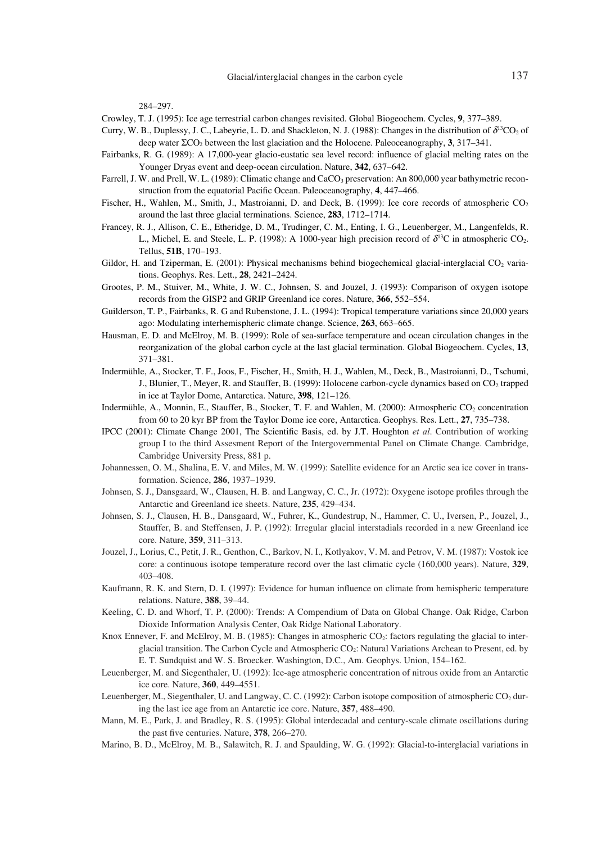284–297.

- Crowley, T. J. (1995): Ice age terrestrial carbon changes revisited. Global Biogeochem. Cycles, **9**, 377–389.
- Curry, W. B., Duplessy, J. C., Labeyrie, L. D. and Shackleton, N. J. (1988): Changes in the distribution of  $\delta^{13}CO_2$  of deep water ΣCO2 between the last glaciation and the Holocene. Paleoceanography, **3**, 317–341.
- Fairbanks, R. G. (1989): A 17,000-year glacio-eustatic sea level record: influence of glacial melting rates on the Younger Dryas event and deep-ocean circulation. Nature, **342**, 637–642.
- Farrell, J. W. and Prell, W. L. (1989): Climatic change and CaCO<sub>3</sub> preservation: An 800,000 year bathymetric reconstruction from the equatorial Pacific Ocean. Paleoceanography, **4**, 447–466.
- Fischer, H., Wahlen, M., Smith, J., Mastroianni, D. and Deck, B. (1999): Ice core records of atmospheric CO<sub>2</sub> around the last three glacial terminations. Science, **283**, 1712–1714.
- Francey, R. J., Allison, C. E., Etheridge, D. M., Trudinger, C. M., Enting, I. G., Leuenberger, M., Langenfelds, R. L., Michel, E. and Steele, L. P. (1998): A 1000-year high precision record of  $\delta^{13}C$  in atmospheric CO<sub>2</sub>. Tellus, **51B**, 170–193.
- Gildor, H. and Tziperman, E. (2001): Physical mechanisms behind biogechemical glacial-interglacial  $CO<sub>2</sub>$  variations. Geophys. Res. Lett., **28**, 2421–2424.
- Grootes, P. M., Stuiver, M., White, J. W. C., Johnsen, S. and Jouzel, J. (1993): Comparison of oxygen isotope records from the GISP2 and GRIP Greenland ice cores. Nature, **366**, 552–554.
- Guilderson, T. P., Fairbanks, R. G and Rubenstone, J. L. (1994): Tropical temperature variations since 20,000 years ago: Modulating interhemispheric climate change. Science, **263**, 663–665.
- Hausman, E. D. and McElroy, M. B. (1999): Role of sea-surface temperature and ocean circulation changes in the reorganization of the global carbon cycle at the last glacial termination. Global Biogeochem. Cycles, **13**, 371–381.
- Indermühle, A., Stocker, T. F., Joos, F., Fischer, H., Smith, H. J., Wahlen, M., Deck, B., Mastroianni, D., Tschumi, J., Blunier, T., Meyer, R. and Stauffer, B. (1999): Holocene carbon-cycle dynamics based on CO<sub>2</sub> trapped in ice at Taylor Dome, Antarctica. Nature, **398**, 121–126.
- Indermühle, A., Monnin, E., Stauffer, B., Stocker, T. F. and Wahlen, M. (2000): Atmospheric CO<sub>2</sub> concentration from 60 to 20 kyr BP from the Taylor Dome ice core, Antarctica. Geophys. Res. Lett., **27**, 735–738.
- IPCC (2001): Climate Change 2001, The Scientific Basis, ed. by J.T. Houghton *et al*. Contribution of working group I to the third Assesment Report of the Intergovernmental Panel on Climate Change. Cambridge, Cambridge University Press, 881 p.
- Johannessen, O. M., Shalina, E. V. and Miles, M. W. (1999): Satellite evidence for an Arctic sea ice cover in transformation. Science, **286**, 1937–1939.
- Johnsen, S. J., Dansgaard, W., Clausen, H. B. and Langway, C. C., Jr. (1972): Oxygene isotope profiles through the Antarctic and Greenland ice sheets. Nature, **235**, 429–434.
- Johnsen, S. J., Clausen, H. B., Dansgaard, W., Fuhrer, K., Gundestrup, N., Hammer, C. U., Iversen, P., Jouzel, J., Stauffer, B. and Steffensen, J. P. (1992): Irregular glacial interstadials recorded in a new Greenland ice core. Nature, **359**, 311–313.
- Jouzel, J., Lorius, C., Petit, J. R., Genthon, C., Barkov, N. I., Kotlyakov, V. M. and Petrov, V. M. (1987): Vostok ice core: a continuous isotope temperature record over the last climatic cycle (160,000 years). Nature, **329**, 403–408.
- Kaufmann, R. K. and Stern, D. I. (1997): Evidence for human influence on climate from hemispheric temperature relations. Nature, **388**, 39–44.
- Keeling, C. D. and Whorf, T. P. (2000): Trends: A Compendium of Data on Global Change. Oak Ridge, Carbon Dioxide Information Analysis Center, Oak Ridge National Laboratory.
- Knox Ennever, F. and McElroy, M. B. (1985): Changes in atmospheric CO<sub>2</sub>: factors regulating the glacial to interglacial transition. The Carbon Cycle and Atmospheric CO<sub>2</sub>: Natural Variations Archean to Present, ed. by E. T. Sundquist and W. S. Broecker. Washington, D.C., Am. Geophys. Union, 154–162.
- Leuenberger, M. and Siegenthaler, U. (1992): Ice-age atmospheric concentration of nitrous oxide from an Antarctic ice core. Nature, **360**, 449–4551.
- Leuenberger, M., Siegenthaler, U. and Langway, C. C. (1992): Carbon isotope composition of atmospheric CO<sub>2</sub> during the last ice age from an Antarctic ice core. Nature, **357**, 488–490.
- Mann, M. E., Park, J. and Bradley, R. S. (1995): Global interdecadal and century-scale climate oscillations during the past five centuries. Nature, **378**, 266–270.
- Marino, B. D., McElroy, M. B., Salawitch, R. J. and Spaulding, W. G. (1992): Glacial-to-interglacial variations in